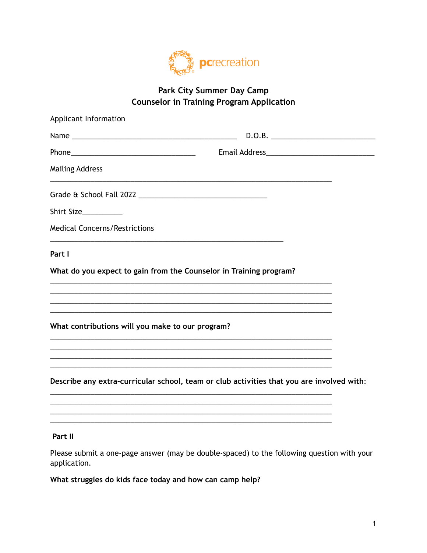

## Park City Summer Day Camp **Counselor in Training Program Application**

| Applicant Information                                                                     |                                                                                                                  |
|-------------------------------------------------------------------------------------------|------------------------------------------------------------------------------------------------------------------|
|                                                                                           |                                                                                                                  |
|                                                                                           |                                                                                                                  |
| <b>Mailing Address</b>                                                                    | and the control of the control of the control of the control of the control of the control of the control of the |
|                                                                                           |                                                                                                                  |
| Shirt Size__________                                                                      |                                                                                                                  |
| <b>Medical Concerns/Restrictions</b>                                                      | the control of the control of the control of the control of the control of the control of                        |
| Part I                                                                                    |                                                                                                                  |
| What do you expect to gain from the Counselor in Training program?                        |                                                                                                                  |
| the control of the control of the control of the control of the control of the control of |                                                                                                                  |
| What contributions will you make to our program?                                          |                                                                                                                  |
|                                                                                           |                                                                                                                  |
|                                                                                           | Describe any extra-curricular school, team or club activities that you are involved with:                        |
|                                                                                           |                                                                                                                  |
| Part II                                                                                   |                                                                                                                  |

Please submit a one-page answer (may be double-spaced) to the following question with your application.

What struggles do kids face today and how can camp help?